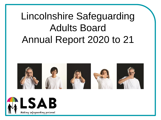# Lincolnshire Safeguarding Adults Board Annual Report 2020 to 21



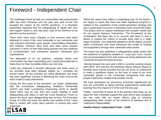### Foreword - Independent Chair

The challenges faced by both our communities and professionals alike has been immense over the past year and no-one has escaped the impact of the COVID pandemic. It is therefore particularly important that the safeguarding of adults with care and support needs is, and has been, kept at the forefront of our partners service provision.

There have been many changes to how services have been delivered to some of the most vulnerable in our community and with imposed restrictions upon people, exacerbating inequalities and isolation. However there have also been some positive outcomes in terms of new skills being learned and new methods of communication and connection between individuals and organisations.

The dedication of all our partners, voluntary sector and communities has been outstanding and I would personally like to thank them for their incredible efforts over this time.

LSAB has continued to function effectively and whilst some of our priorities have been delayed slightly, as I complete the annual report, all key priorities are being developed and there has been significant success in delivering the Team Around the Adult model of early intervention.

During the first wave of the pandemic our board collaborated with the Lincolnshire Safeguarding Children's Partnership (LSCP) and Safer Lincolnshire Partnership (SLP) to identify where there may be key risks and issues relating to adult safeguarding and linked in with the Local Resilience Forum to ensure the focus upon safeguarding was not lost. The Executive Group of LSAB met every two weeks and outside of this I have kept in contact with many other partners to ensure they were supported.



Whilst this report does reflect a challenging year for the board, I am happy to report that there has been significant progress in relation to the completion of the overall prevention strategy and also a great deal of success in delivering Team Around the Adult. This project aims to support individuals with complex needs who do not require statutory intervention. The recruitment of two coordinators has been key to its success and there is now a desire to expand the criteria to provide early help to a wider range of people. I am extremely grateful to all the district councils within Lincolnshire who have embraced this model of working and supported it through their vulnerable adult panels.

The board has also published a safeguarding adults review into the treatment of inpatients resident at Long Leys Court, Lincoln and recommendations from that review are being addressed and monitored through the board process.

Moving forward into next year LSAB is currently working closely with LSCP. SLP and the new Domestic Abuse Advisory Board to develop some shared priorities that we can focus on collectively to make a significant impact on the lives of some of our most vulnerable people in the community recognising that many people experience multiple and complex issues.

We have developed our assurance processes significantly too and are committed to being learning organisations particularly learning from the impact of COVID over the last year.

Finally, I would like to thank all of the partners that make up our board for their continued support this year and to also recognise the key roles that our board officers play in ensuring safeguarding does remain at the forefront of business and is "everyone's responsibility".

**Heather Roach, Independent Chair - LSAB**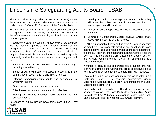### Lincolnshire Safeguarding Adults Board - LSAB

The Lincolnshire Safeguarding Adults Board (LSAB) serves the County of Lincolnshire. The LSAB became a statutory body on the 1<sup>st</sup> of April 2015 as result of the Care Act 2014.

The Act requires that the SAB must lead adult safeguarding arrangements across its locality and oversee and coordinate the effectiveness of the safeguarding work of its member and partner agencies.

It requires the LSAB to develop and actively promote a culture with its members, partners and the local community that recognises the values and principles contained in 'Making Safeguarding Personal'. It should also concern itself with a range of issues which can contribute to the wellbeing of its community and to the prevention of abuse and neglect, such as:

- Safety of people who use services in local health settings, including mental health;
- Safety of adults with care and support needs living in the community, in social housing and in care homes;
- Effective interventions with adults who self-neglect, for whatever reason;
- Quality of local care and support services;
- Effectiveness of prisons in safeguarding offenders;
- Making connections between adult safeguarding and domestic abuse.

Safeguarding Adults Boards have three core duties. They must:-

- 1. Develop and publish a strategic plan setting out how they will meet their objectives and how their member and partner agencies will contribute;
- 2. Publish an annual report detailing how effective their work has been;
- 3. Commission Safeguarding Adults Reviews (SARs) for any cases which meet the criteria for these.

LSAB is a partnership body and has over 20 partner agencies as members. The Board sets direction and priorities, develops partnership working and holds partner agencies to account for the effective delivery of safeguarding arrangements across the County. The core partners are Lincolnshire County Council, the Clinical Commissioning Group in Lincolnshire and Lincolnshire Police.

A number of Boards and sub-groups ran throughout the year looking at Strategic and Operational areas of safeguarding as well as specific issues such as Safeguarding Adult Reviews.

Locally, the Board has close working relationships with: Public Protection Board – a strategic coordinating group; Lincolnshire Safeguarding Children Partnership; and the Safer Lincolnshire Partnership.

Regionally and nationally the Board has strong working arrangements with the East Midlands Safeguarding Adults Network, the East Midlands Safeguarding Adults Board [SAB] Chairs Network and the National SAB Chairs Network.



3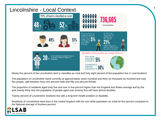

Ninety five percent of the Lincolnshire land is classifies as rural and forty eight percent of the population live in rural locations

The population of Lincolnshire stand currently at approximately seven hundred and thirty six thousand six hundred and sixty five people, split between forty nine percent male and fifty one percent female.

The proportion of residents aged sixty five and over is five percent higher than the England and Wales average and by the year twenty thirty nine the population of people aged over seventy five will have almost doubled.

Twenty percent of Lincolnshire residents live with a long term health problem or disability.

Residents of Lincolnshire were born in the United kingdom with the non white population as small as five percent compared to the National average of fourteen percent.

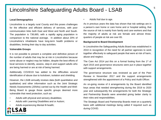### Lincolnshire Safeguarding Adults Board - LSAB

#### **Local Demographics**

Lincolnshire is a largely rural County and this poses challenges for the effective and efficient delivery of services, with poor communication links both East and West and North and South. The population is 736,665, with a rapidly aging population in comparison to the national average. In addition about 20% of Lincolnshire's inhabitants have long-term health problems or disabilities, limiting their day to day activities.

#### **Vulnerable Groups**

It is not possible to present a complete and definitive picture of the number of adults that may be at risk in Lincolnshire because some abuse or neglect may be hidden, despite the best efforts of local services to identify, assess, step-in and support adults who are being harmed or are at risk of being harmed.

Additionally COVID19 has added to the difficulties around identification of abuse due to lockdown, isolation and shielding.

However, the LSAB annually reviews data (both quantitative and qualitative) and other information such as the Joint Strategic Needs Assessments (JSNAs) carried out by the Health and Well-Being Board to gauge those specific groups deemed more vulnerable that need protection, such as:

- Adults with physical and sensory disabilities;
- Adults with Learning Disabilities and or Autism;
- Adults experiencing Mental Ill-health;



• Adults frail due to age.

As in previous years the data has shown that risk settings are in a person's own home or care home and or hospital setting, that the source of risk is mainly from family and care workers and that the majority of adults at risk are female and almost threequarters of people at risk are over 65.

#### **Background to Board Development**

In Lincolnshire the Safeguarding Adults Board was established in 2010 in recognition of the need for all partner agencies to work together effectively to safeguard people that were at risk of harm, abuse and neglect.

The Care Act 2014 put this on a formal footing from the 1<sup>st</sup> of April 2015 and governance structures were put in place together with support arrangements.

The governance structure was reviewed as part of the Peer Review in November 2017 and the support arrangements strengthened with the appointment of a Policy and Audit Officer.

An on-going review of it arrangements by the Board identified keys areas that needed strengthening during the 2019 to 2020 year and subsequently the arrangements for both the Strategic and Partnership Boards were amended giving better clarity to their roles and responsibilities.

The Strategic Board and Partnership Boards meet on a quarterly basis with additional meetings being called if required such as during COVID.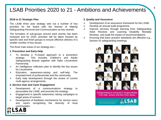### LSAB Priorities 2020 to 21 - Ambitions and Achievements

#### **2018 to 21 Strategic Plan**

The LSAB three year strategy sets out a number of key priorities for the board with the themes of Making Safeguarding Personal and Communication as key strands.

The formation of sub-groups around each priority has been reviewed and for 2020, priorities will be taken forward by specific task and finish groups to ensure effective delivery of a smaller number of key issues.

The three main areas of our strategy are:–

#### **1. Prevention and Early Help**

- $\triangleright$  To develop a Tri-board approach to a prevention strategy. This includes Children's and Adults Safeguarding Boards together with Safer Lincolnshire Partnership.
- $\triangleright$  An Intelligence collection plan to identify the key issues for Lincolnshire.
- ➢ Education, awareness-raising and self-help. The empowerment of professionals and the community.
- $\triangleright$  Early help development through the review of current multi-agency arrangements.

#### **2. Service User and Carer Engagement**

- ➢ Development of a communications strategy to personalise the LSAB, and promote the strategy.
- ➢ Engagement in specific awareness raising campaigns to target areas of concern.
- ➢ Development of feedback mechanisms for service users and carers recognising the diversity of local communities.



#### **3. Quality and Assurance**

- ➢ Development of an assurance framework for the LSAB.
- ➢ Develop an annual audit programme.
- ➢ Improve services through learning from Safeguarding Adult Reviews and Learning Disability Mortality Reviews, and audit the impact of recommendations.
- $\triangleright$  Ensuring that basic practice standards are effective e.g., Section 42 safeguarding meetings.

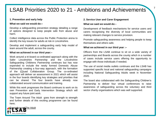### LSAB Priorities 2020 to 21 - Ambitions and Achievements

#### **1. Prevention and early help**

#### **What we said we would do:–**

Develop a safeguarding prevention strategy detailing a range of options designed to keep people safe from abuse and harm.

Collect intelligence data across the Public Protection arena to identify the key issues for adults at risk in Lincolnshire.

Develop and implement a safeguarding early help model of team around the adult, across the county.

#### **What we achieved in our third year:–**

Work around a tri-board co-ordinated approach along with the Safer Lincolnshire Partnership and the Lincolnshire Safeguarding Childrens Partnership continues but has now expended to include the newly formed Domestic Abuse Partnership creating a four-way approach, with the formation of the (Q)uad Collaboration Group. The co-ordinated approach will deliver an assessment in 2021 which will assist in the four boards identifying key strategies and priorities that can be shared. The four boards have already now collaborated around communication and training.

While this work progresses the Board continues to work on its own Prevention and Early Intervention Strategy which will support any future joint work.

The Team Around The Adult goes from strength to strength and further details of this exciting programme can be found here;

#### **2. Service User and Carer Engagement**

#### **What we said we would do:**–

Development of feedback mechanisms for service users and carers recognising the diversity of local communities and making relevant changes to service provision.

Promote safeguarding awareness and helping people to keep themselves and others safe.

#### **What we achieved in our third year :–**

Officers from the LSAB continue to sit on a wide variety of partnerships and Boards across the county which in a number of cases include service users offering the opportunity to engage with those individuals if needed.

The use of social media outlets continues and the LSAB has supported specific local and national safeguarding campaigns including National Safeguarding Adults week in November 2020.

The board also collaborated with the Safeguarding Children's Partnership to deliver four virtual conferences to raise awareness of safeguarding across the voluntary and third sector charity organisations which was well supported.

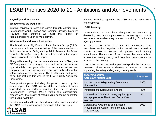### LSAB Priorities 2020 to 21 - Ambitions and Achievements

#### **3. Quality and Assurance**

#### **What we said we would do:-**

Improve services to users and carers through learning from Safeguarding Adult Reviews and Learning Disability Mortality Reviews, and ensuring we audit the impact of recommendations upon service delivery.

#### **What we achieved in our third year:-**

The Board has a Significant Incident Review Group (SIRG) whose work includes the monitoring of the recommendations that come out of all Safeguarding Adult Reviews, the Board published 3 SAR's during the period covered by this report which is covered later in this report.

Along with ensuring the recommendations are fulfilled, the SIRG requested that a programme of audit work is undertaken approximately one year after the recommendations are completed to ensure change and learning is embedded within safeguarding across agencies. The LSAB audit and policy officer has included this work in the LSAB Quality Assurance Framework.

Over previous years, including the period covered by this annual report, the LSAB has undertaken a number of audits supported by its partners including the use of Making Safeguarding Personal (MSP) within the safeguarding process and the quality of safeguarding concerns submitted to the Local Authority.

Results from all audits are shared with partners and as part of the LSAB Quality Assurance Framework, future audits are



planned including repeating the MSP audit to ascertain if improvements.

#### **LSAB Training**

LSAB training has met the challenge of the pandemic by developing and adapting courses to eLearning and virtual workshops to enable easy access to training for all multi agency partners.

In March 2020 LSAB, LCC and the Lincolnshire Care Association worked together to introduced two Coronavirus specific course to support all partner multi agency practitioners. The number of practitioners that were able to access the training quickly and complete, demonstrates the success of the training.

The LSAB has also worked in partnership with the LSCP and Domestic Abuse team to develop a number of courses supporting the safeguarding everyone approach.

| eLearning course<br>April 2020-August 2021                                                                 | <b>Attendees</b> |
|------------------------------------------------------------------------------------------------------------|------------------|
| Introduction to Safeguarding Everyone in<br>Lincolnshire                                                   | 1953             |
| Introduction to Safeguarding Adults                                                                        | 480              |
| Coronavirus COVID-19 managing the signs<br>and symptoms for Health and Social Care<br><b>Workers</b>       | 952              |
| Coronavirus Awareness and Infection<br>Prevention and Control for Health and Social<br><b>Care Workers</b> | 1052             |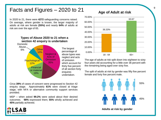### Facts and Figures – 2020 to 21

In 2020 to 21, there were **4272** safeguarding concerns raised. On average, where gender is known, the larger majority of adults at risk are female **(55%)** and nearly **64%** of adults at risk are over the age of 65.

> **Types of Abuse 2020 to 21 when a section 42 enquiry is undertaken**



Circa **39%** of cases of concern were progressed to Section 42 enquiry stage. Approximately **61%** were closed at triage stage, with NFA or alternative community support services provided.

MSP – when asked **99.2%** were asked about their desired outcomes. **98%** expressed them; **55%** wholly achieved and **45%** partially achieved.





The age of adults at risk split down into eighteen to sixty four years old accounting for a little over 36 percent with the remaining being aged over sixty five.

The split of adults at risk by gender was fifty five percent female and forty five percent male.



**Adults at risk by gender**

#### **Age of Adult at risk**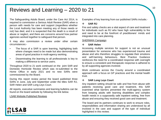### Reviews and Learning – 2020 to 21

The Safeguarding Adults Board, under the Care Act 2014, is required to commission a Serious Adult Review (SAR) when a person with needs for care and support (regardless whether the Local Authority has been meeting any of those needs or not) has died, and it is suspected that the death is a result of abuse or neglect, and there are concerns around how partner agencies worked together to safeguard that person.

It may also commission a review under other certain circumstances:-

- The focus of a SAR is upon learning, highlighting both where changes need to be made but also demonstrating areas of good practice in multi-agency working.
- Disseminating the learning to all professionals is key to making a difference to service users.

Throughout 2020 to 21 work continued on the joint SAR and Domestic Homicide Review which was re-submitted to the Home Office in early 2021 and no new SARs were commissioned by the Board.

During this report review period the board published three SARs in June, July and September under the titles SAR RJ, SAR Helen and SAR Long Leys Court.

All reports, executive summaries and learning bulletins can be found on the board website by following the link below.

#### LSAB Website [Published](https://www.lincolnshire.gov.uk/safeguarding/lsab/2) Reviews

Examples of key learning from our published SARs include;-

#### ❖ **SAR RJ**

Fire and safety checks are a vital aspect of care and treatment for individuals such as RJ who have high vulnerability to fire and need to be at the forefront of practitioners' minds and integrated into care planning.

#### [SHERMAN](https://www.lincolnshire.gov.uk/home-fire-safety/request-safe-well-check/3) Campaign

#### ❖ **SAR Helen**

Accessing multiple services for support is not an unusual presentation for someone who has experienced trauma and abuse and who therefore struggles to regulate their emotions and self-harming behaviours. Best Practice Guidance reinforces the need for a coordinated response with oversight to ensure a consistent and therapeutic response is adhered to by all supporting agencies involved.

Work continues across the County around a coordinated approach with a focus on GP practices and the mental health trust.

#### ❖ **SAR Long Leys Court**

Any inpatient setting should be safe and free from abuse with patients receiving good care and treatment, this SAR examined what barriers prevented the multi-agency system from keeping adults with learning disabilities and complex health needs in a supposedly safe inpatient setting, free from abuse and ensuring they received good care and treatment.

The board and its partners continues to work to ensure roles, responsibilities and information sharing are understood by all involved in the care and support of the type of individual highlighted in this review.



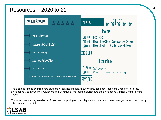### Resources  $-2020$  to 21 11



The Board is funded by three core partners all contributing forty thousand pounds each, these are Lincolnshire Police, Lincolnshire County Council, Adult care and Community Wellbeing Services and the Lincolnshire Clinical Commissioning Group.

These funds are mainly used on staffing costs comprising of two independent chair, a business manager, an audit and policy officer and an administrator.

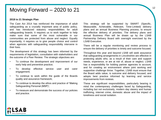### Moving Forward – 2020 to 21

#### **2018 to 21 Strategic Plan**

The Care Act 2014 has reinforced the importance of adult safeguarding as a crucially important area of public policy, and has introduced statutory responsibilities for adult safeguarding boards. It requires us to work together to help make sure that some of the most vulnerable in our communities are protected from abuse and neglect. Equally importantly, it requires us to give people choice and control when agencies with safeguarding responsibility intervene in their lives.

The development of this strategy has been informed by the requirements of legislation, consultation with stakeholders and the outcome of a Peer Review. The strategic objectives are:

- To continue the development and improvement of our early help and preventive practice;
- To develop effective service user and carer engagement;
- To continue to work within the guide of the Boards quality and assurance framework;
- To continue to develop the ethos and practice of 'Making Safeguarding Personal (MSP)';
- To measure and demonstrate the success of our policies and practice.

This strategy will be supported by SMART (Specific, Measurable, Achievable, Relevant, Time-Limited) delivery plans and an annual Business Planning process, to ensure the effective delivery of priorities. The delivery plans and annual Business Plan will be drawn up by the LSAB Partnership Delivery Board with oversight exercised by the LSAB Executive.

There will be a regular monitoring and review process to ensure the delivery of priorities is timely and outcome focused.

Throughout this year and beyond LSAB will seek assurance that safeguarding arrangements in Lincolnshire are effective in protecting adults who, as a result of their care and support needs, experience, or are at risk of, abuse or neglect. LSAB has a responsibility for holding partner agencies to account, and for creating an environment where joint working and supportive challenge thrive. Together, LSAB must ensure that the Board adds value, is outcome and delivery focused, and adopts best practice informed by learning and service improvements from reviews.

These are significant responsibilities, particularly bearing in mind the contemporary challenges faced by Safeguarding, including but not exclusively, modern day slavery and human trafficking, internet crime, domestic abuse and the impact of loneliness and social isolation.

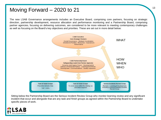### Moving Forward  $-2020$  to 21 13

The new LSAB Governance arrangements includes an Executive Board, comprising core partners, focusing on strategic direction, partnership development, resource allocation and performance monitoring and a Partnership Board, comprising partner agencies, focusing on delivering outcomes, are considered to be more relevant to meeting contemporary challenges as well as focusing on the Board's key objectives and priorities. These are set out in more detail below:



Sitting below the Partnership Board are the Serious Incident Review Group who monitor learning review and any significant incident that occur and alongside that are any task and finish groups as agreed within the Partnership Board to undertake specific pieces of work.